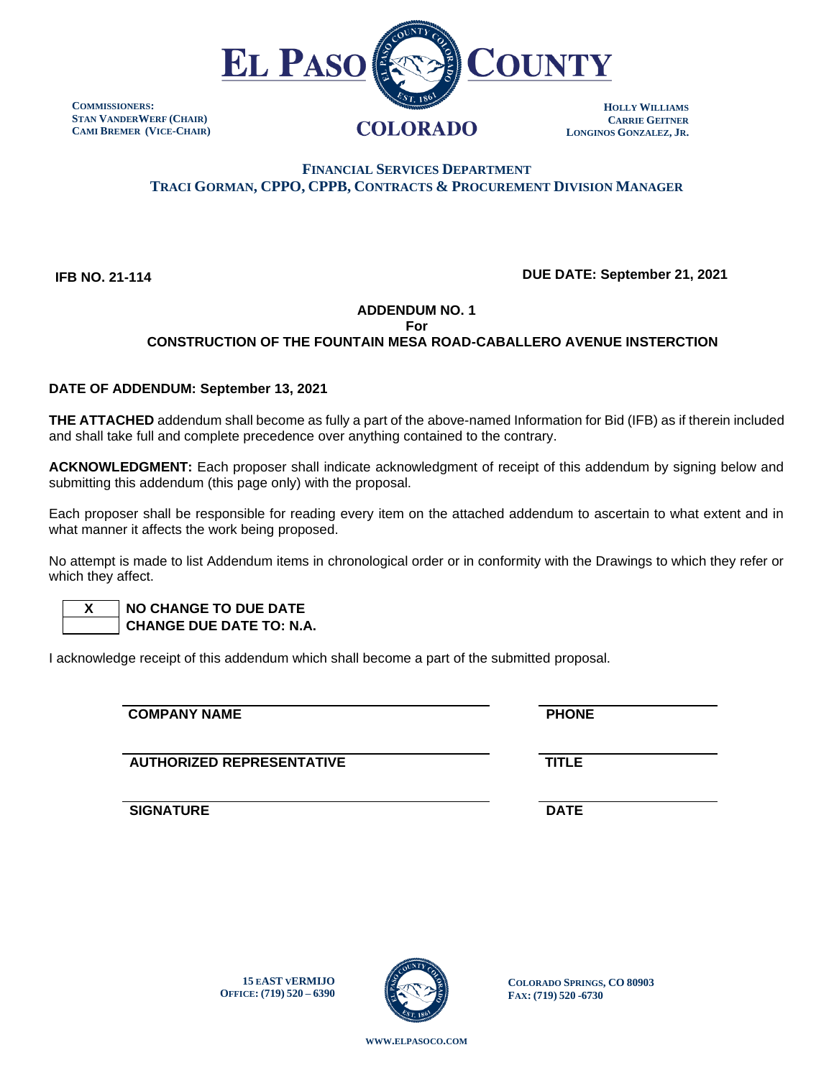

**COMMISSIONERS: STAN VANDERWERF (CHAIR) CAMI BREMER (VICE-CHAIR)**

# **FINANCIAL SERVICES DEPARTMENT TRACI GORMAN, CPPO, CPPB, CONTRACTS & PROCUREMENT DIVISION MANAGER**

 **IFB NO. 21-114**

## **DUE DATE: September 21, 2021**

## **ADDENDUM NO. 1**

**For**

## **CONSTRUCTION OF THE FOUNTAIN MESA ROAD-CABALLERO AVENUE INSTERCTION**

#### **DATE OF ADDENDUM: September 13, 2021**

**THE ATTACHED** addendum shall become as fully a part of the above-named Information for Bid (IFB) as if therein included and shall take full and complete precedence over anything contained to the contrary.

**ACKNOWLEDGMENT:** Each proposer shall indicate acknowledgment of receipt of this addendum by signing below and submitting this addendum (this page only) with the proposal.

Each proposer shall be responsible for reading every item on the attached addendum to ascertain to what extent and in what manner it affects the work being proposed.

No attempt is made to list Addendum items in chronological order or in conformity with the Drawings to which they refer or which they affect.

 **X NO CHANGE TO DUE DATE CHANGE DUE DATE TO: N.A.**

I acknowledge receipt of this addendum which shall become a part of the submitted proposal.

**COMPANY NAME** PHONE

**AUTHORIZED REPRESENTATIVE TITLE**

**SIGNATURE DATE**

**15 EAST VERMIJO OFFICE: (719) 520 – 6390**



**COLORADO SPRINGS, CO 80903 FAX: (719) 520 -6730**

**WWW.[ELPASOCO](file:///C:/Users/pcdfields/AppData/Local/Microsoft/Windows/INetCache/Content.Outlook/OA1LDP44/www.elpasoco.com).COM**